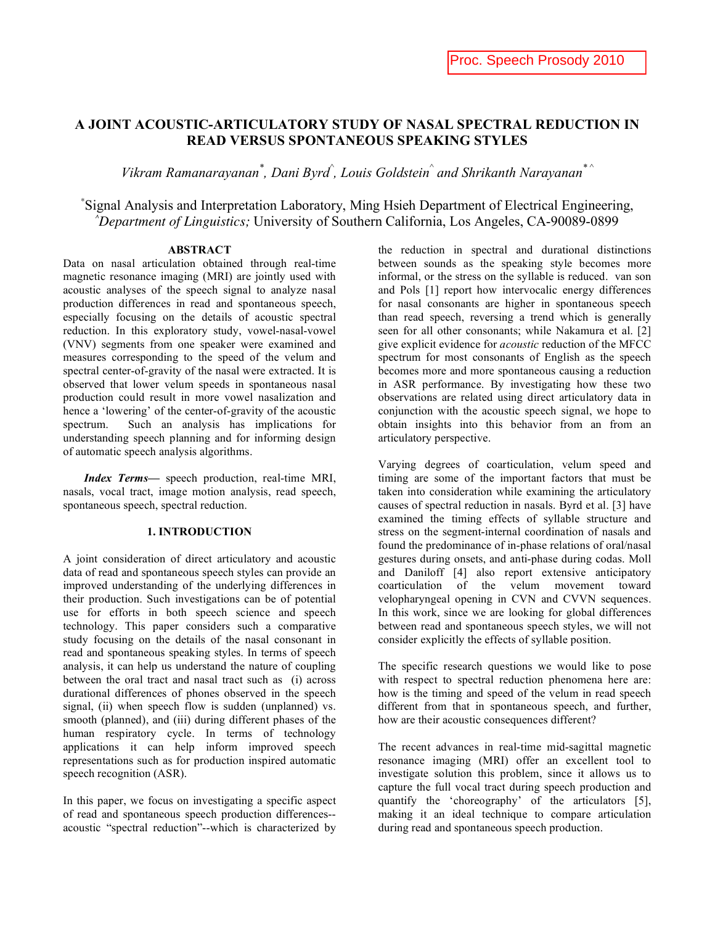# **A JOINT ACOUSTIC-ARTICULATORY STUDY OF NASAL SPECTRAL REDUCTION IN READ VERSUS SPONTANEOUS SPEAKING STYLES**

Vikram Ramanarayanan<sup>\*</sup>, Dani Byrd<sup>^</sup>, Louis Goldstein<sup>^</sup> and Shrikanth Narayanan<sup>\* ^</sup>

*\** Signal Analysis and Interpretation Laboratory, Ming Hsieh Department of Electrical Engineering, *^ Department of Linguistics;* University of Southern California, Los Angeles, CA-90089-0899

### **ABSTRACT**

Data on nasal articulation obtained through real-time magnetic resonance imaging (MRI) are jointly used with acoustic analyses of the speech signal to analyze nasal production differences in read and spontaneous speech, especially focusing on the details of acoustic spectral reduction. In this exploratory study, vowel-nasal-vowel (VNV) segments from one speaker were examined and measures corresponding to the speed of the velum and spectral center-of-gravity of the nasal were extracted. It is observed that lower velum speeds in spontaneous nasal production could result in more vowel nasalization and hence a 'lowering' of the center-of-gravity of the acoustic spectrum. Such an analysis has implications for understanding speech planning and for informing design of automatic speech analysis algorithms.

*Index Terms—* speech production, real-time MRI, nasals, vocal tract, image motion analysis, read speech, spontaneous speech, spectral reduction.

#### **1. INTRODUCTION**

A joint consideration of direct articulatory and acoustic data of read and spontaneous speech styles can provide an improved understanding of the underlying differences in their production. Such investigations can be of potential use for efforts in both speech science and speech technology. This paper considers such a comparative study focusing on the details of the nasal consonant in read and spontaneous speaking styles. In terms of speech analysis, it can help us understand the nature of coupling between the oral tract and nasal tract such as (i) across durational differences of phones observed in the speech signal, (ii) when speech flow is sudden (unplanned) vs. smooth (planned), and (iii) during different phases of the human respiratory cycle. In terms of technology applications it can help inform improved speech representations such as for production inspired automatic speech recognition (ASR).

In this paper, we focus on investigating a specific aspect of read and spontaneous speech production differences- acoustic "spectral reduction"--which is characterized by the reduction in spectral and durational distinctions between sounds as the speaking style becomes more informal, or the stress on the syllable is reduced. van son and Pols [1] report how intervocalic energy differences for nasal consonants are higher in spontaneous speech than read speech, reversing a trend which is generally seen for all other consonants; while Nakamura et al. [2] give explicit evidence for *acoustic* reduction of the MFCC spectrum for most consonants of English as the speech becomes more and more spontaneous causing a reduction in ASR performance. By investigating how these two observations are related using direct articulatory data in conjunction with the acoustic speech signal, we hope to obtain insights into this behavior from an from an articulatory perspective.

Varying degrees of coarticulation, velum speed and timing are some of the important factors that must be taken into consideration while examining the articulatory causes of spectral reduction in nasals. Byrd et al. [3] have examined the timing effects of syllable structure and stress on the segment-internal coordination of nasals and found the predominance of in-phase relations of oral/nasal gestures during onsets, and anti-phase during codas. Moll and Daniloff [4] also report extensive anticipatory coarticulation of the velum movement toward velopharyngeal opening in CVN and CVVN sequences. In this work, since we are looking for global differences between read and spontaneous speech styles, we will not consider explicitly the effects of syllable position.

The specific research questions we would like to pose with respect to spectral reduction phenomena here are: how is the timing and speed of the velum in read speech different from that in spontaneous speech, and further, how are their acoustic consequences different?

The recent advances in real-time mid-sagittal magnetic resonance imaging (MRI) offer an excellent tool to investigate solution this problem, since it allows us to capture the full vocal tract during speech production and quantify the 'choreography' of the articulators [5], making it an ideal technique to compare articulation during read and spontaneous speech production.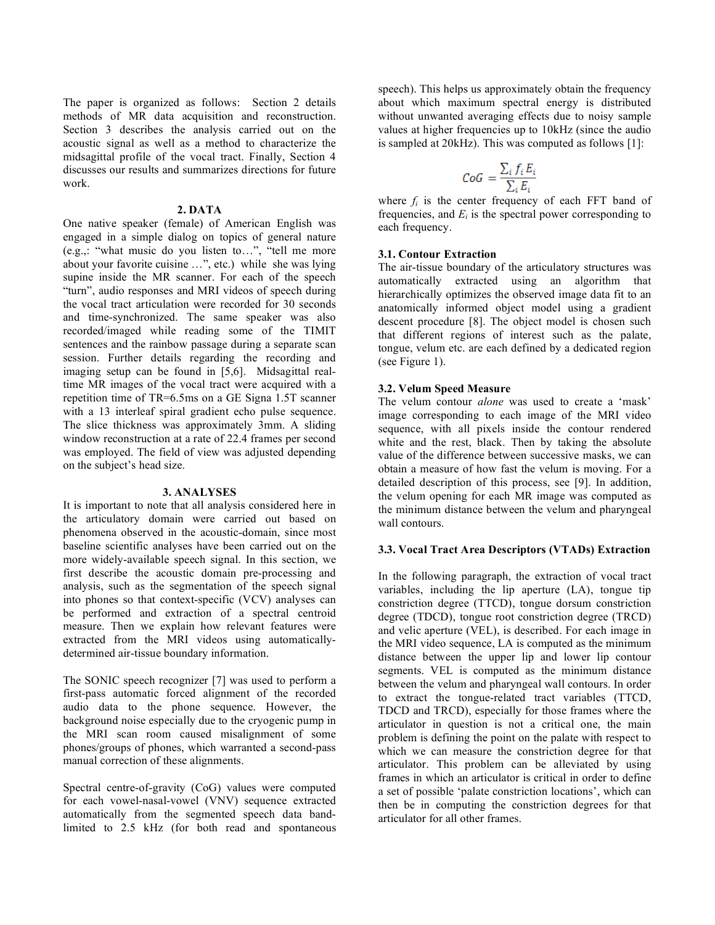The paper is organized as follows: Section 2 details methods of MR data acquisition and reconstruction. Section 3 describes the analysis carried out on the acoustic signal as well as a method to characterize the midsagittal profile of the vocal tract. Finally, Section 4 discusses our results and summarizes directions for future work.

#### **2. DATA**

One native speaker (female) of American English was engaged in a simple dialog on topics of general nature (e.g.,: "what music do you listen to…", "tell me more about your favorite cuisine …", etc.) while she was lying supine inside the MR scanner. For each of the speech "turn", audio responses and MRI videos of speech during the vocal tract articulation were recorded for 30 seconds and time-synchronized. The same speaker was also recorded/imaged while reading some of the TIMIT sentences and the rainbow passage during a separate scan session. Further details regarding the recording and imaging setup can be found in [5,6]. Midsagittal realtime MR images of the vocal tract were acquired with a repetition time of TR=6.5ms on a GE Signa 1.5T scanner with a 13 interleaf spiral gradient echo pulse sequence. The slice thickness was approximately 3mm. A sliding window reconstruction at a rate of 22.4 frames per second was employed. The field of view was adjusted depending on the subject's head size.

#### **3. ANALYSES**

It is important to note that all analysis considered here in the articulatory domain were carried out based on phenomena observed in the acoustic-domain, since most baseline scientific analyses have been carried out on the more widely-available speech signal. In this section, we first describe the acoustic domain pre-processing and analysis, such as the segmentation of the speech signal into phones so that context-specific (VCV) analyses can be performed and extraction of a spectral centroid measure. Then we explain how relevant features were extracted from the MRI videos using automaticallydetermined air-tissue boundary information.

The SONIC speech recognizer [7] was used to perform a first-pass automatic forced alignment of the recorded audio data to the phone sequence. However, the background noise especially due to the cryogenic pump in the MRI scan room caused misalignment of some phones/groups of phones, which warranted a second-pass manual correction of these alignments.

Spectral centre-of-gravity (CoG) values were computed for each vowel-nasal-vowel (VNV) sequence extracted automatically from the segmented speech data bandlimited to 2.5 kHz (for both read and spontaneous speech). This helps us approximately obtain the frequency about which maximum spectral energy is distributed without unwanted averaging effects due to noisy sample values at higher frequencies up to 10kHz (since the audio is sampled at 20kHz). This was computed as follows [1]:

$$
CoG = \frac{\sum_{i} f_{i} E_{i}}{\sum_{i} E_{i}}
$$

where  $f_i$  is the center frequency of each FFT band of frequencies, and  $E_i$  is the spectral power corresponding to each frequency.

#### **3.1. Contour Extraction**

The air-tissue boundary of the articulatory structures was automatically extracted using an algorithm that hierarchically optimizes the observed image data fit to an anatomically informed object model using a gradient descent procedure [8]. The object model is chosen such that different regions of interest such as the palate, tongue, velum etc. are each defined by a dedicated region (see Figure 1).

#### **3.2. Velum Speed Measure**

The velum contour *alone* was used to create a 'mask' image corresponding to each image of the MRI video sequence, with all pixels inside the contour rendered white and the rest, black. Then by taking the absolute value of the difference between successive masks, we can obtain a measure of how fast the velum is moving. For a detailed description of this process, see [9]. In addition, the velum opening for each MR image was computed as the minimum distance between the velum and pharyngeal wall contours.

#### **3.3. Vocal Tract Area Descriptors (VTADs) Extraction**

In the following paragraph, the extraction of vocal tract variables, including the lip aperture (LA), tongue tip constriction degree (TTCD), tongue dorsum constriction degree (TDCD), tongue root constriction degree (TRCD) and velic aperture (VEL), is described. For each image in the MRI video sequence, LA is computed as the minimum distance between the upper lip and lower lip contour segments. VEL is computed as the minimum distance between the velum and pharyngeal wall contours. In order to extract the tongue-related tract variables (TTCD, TDCD and TRCD), especially for those frames where the articulator in question is not a critical one, the main problem is defining the point on the palate with respect to which we can measure the constriction degree for that articulator. This problem can be alleviated by using frames in which an articulator is critical in order to define a set of possible 'palate constriction locations', which can then be in computing the constriction degrees for that articulator for all other frames.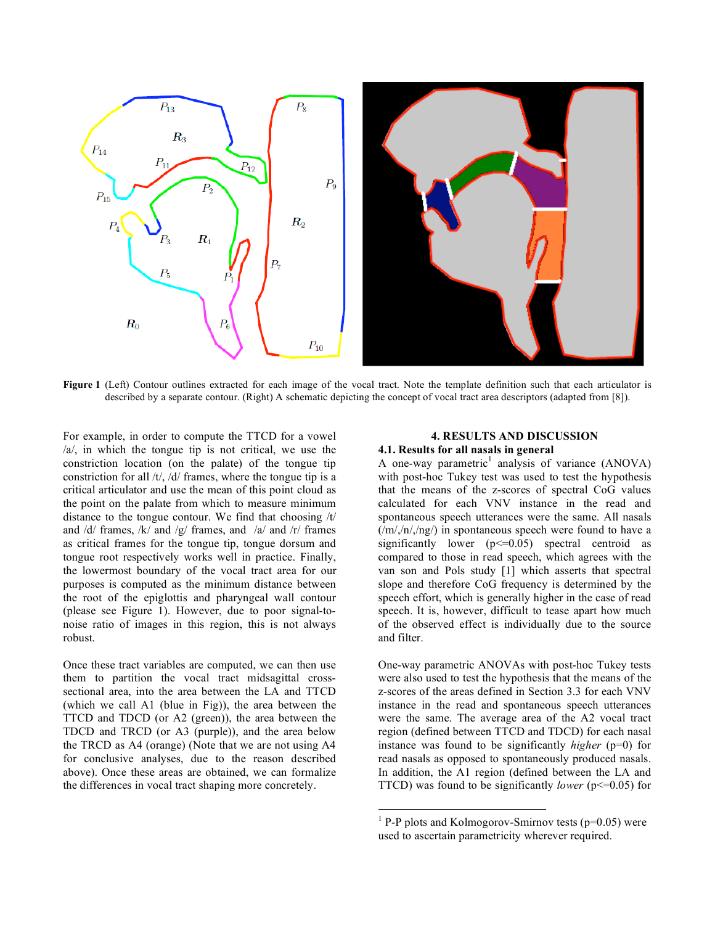

**Figure 1** (Left) Contour outlines extracted for each image of the vocal tract. Note the template definition such that each articulator is described by a separate contour. (Right) A schematic depicting the concept of vocal tract area descriptors (adapted from [8]).

For example, in order to compute the TTCD for a vowel /a/, in which the tongue tip is not critical, we use the constriction location (on the palate) of the tongue tip constriction for all /t/, /d/ frames, where the tongue tip is a critical articulator and use the mean of this point cloud as the point on the palate from which to measure minimum distance to the tongue contour. We find that choosing /t/ and  $\frac{d}{dx}$  frames,  $\frac{d}{dx}$  and  $\frac{d}{dx}$  and  $\frac{d}{dx}$  and  $\frac{d}{dx}$  frames as critical frames for the tongue tip, tongue dorsum and tongue root respectively works well in practice. Finally, the lowermost boundary of the vocal tract area for our purposes is computed as the minimum distance between the root of the epiglottis and pharyngeal wall contour (please see Figure 1). However, due to poor signal-tonoise ratio of images in this region, this is not always robust.

Once these tract variables are computed, we can then use them to partition the vocal tract midsagittal crosssectional area, into the area between the LA and TTCD (which we call A1 (blue in Fig)), the area between the TTCD and TDCD (or A2 (green)), the area between the TDCD and TRCD (or A3 (purple)), and the area below the TRCD as A4 (orange) (Note that we are not using A4 for conclusive analyses, due to the reason described above). Once these areas are obtained, we can formalize the differences in vocal tract shaping more concretely.

## **4. RESULTS AND DISCUSSION 4.1. Results for all nasals in general**

A one-way parametric<sup>1</sup> analysis of variance (ANOVA) with post-hoc Tukey test was used to test the hypothesis that the means of the z-scores of spectral CoG values calculated for each VNV instance in the read and spontaneous speech utterances were the same. All nasals  $(\frac{m}{n})$ ,  $(n/2)$  in spontaneous speech were found to have a significantly lower  $(p \le 0.05)$  spectral centroid as compared to those in read speech, which agrees with the van son and Pols study [1] which asserts that spectral slope and therefore CoG frequency is determined by the speech effort, which is generally higher in the case of read speech. It is, however, difficult to tease apart how much of the observed effect is individually due to the source and filter.

One-way parametric ANOVAs with post-hoc Tukey tests were also used to test the hypothesis that the means of the z-scores of the areas defined in Section 3.3 for each VNV instance in the read and spontaneous speech utterances were the same. The average area of the A2 vocal tract region (defined between TTCD and TDCD) for each nasal instance was found to be significantly *higher* (p=0) for read nasals as opposed to spontaneously produced nasals. In addition, the A1 region (defined between the LA and TTCD) was found to be significantly *lower* (p<=0.05) for

 $\frac{1}{1}$ <sup>1</sup> P-P plots and Kolmogorov-Smirnov tests ( $p=0.05$ ) were used to ascertain parametricity wherever required.